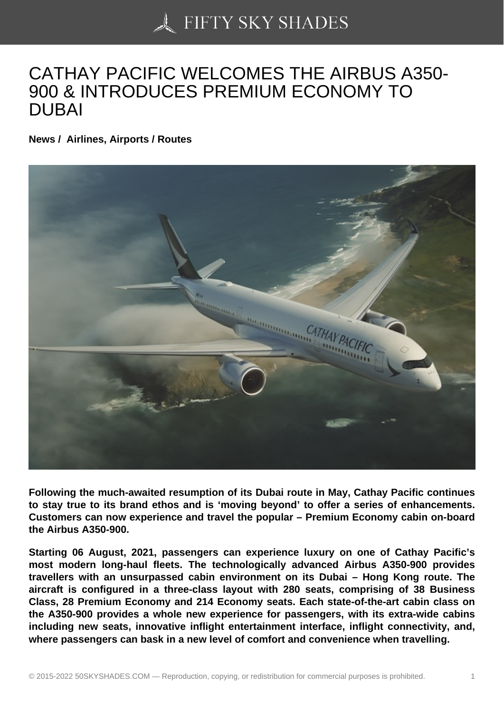## [CATHAY PACIFIC WE](https://50skyshades.com)LCOMES THE AIRBUS A350- 900 & INTRODUCES PREMIUM ECONOMY TO DUBAI

News / Airlines, Airports / Routes

Following the much-awaited resumption of its Dubai route in May, Cathay Pacific continues to stay true to its brand ethos and is 'moving beyond' to offer a series of enhancements. Customers can now experience and travel the popular – Premium Economy cabin on-board the Airbus A350-900.

Starting 06 August, 2021, passengers can experience luxury on one of Cathay Pacific's most modern long-haul fleets. The technologically advanced Airbus A350-900 provides travellers with an unsurpassed cabin environment on its Dubai – Hong Kong route. The aircraft is configured in a three-class layout with 280 seats, comprising of 38 Business Class, 28 Premium Economy and 214 Economy seats. Each state-of-the-art cabin class on the A350-900 provides a whole new experience for passengers, with its extra-wide cabins including new seats, innovative inflight entertainment interface, inflight connectivity, and, where passengers can bask in a new level of comfort and convenience when travelling.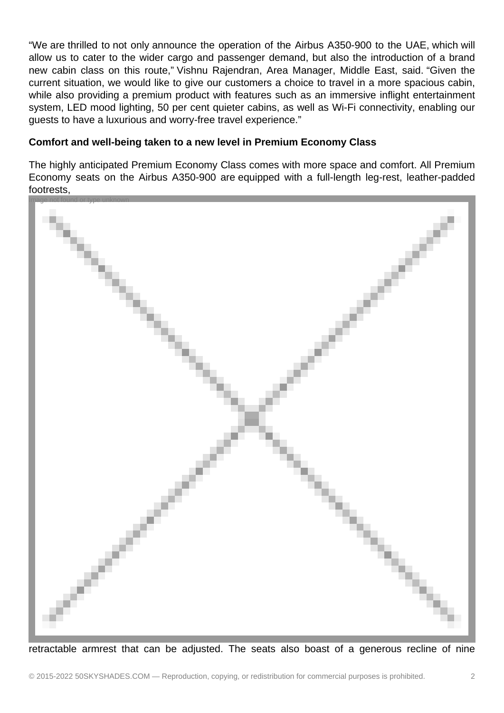"We are thrilled to not only announce the operation of the Airbus A350-900 to the UAE, which will allow us to cater to the wider cargo and passenger demand, but also the introduction of a brand new cabin class on this route," Vishnu Rajendran, Area Manager, Middle East, said. "Given the current situation, we would like to give our customers a choice to travel in a more spacious cabin, while also providing a premium product with features such as an immersive inflight entertainment system, LED mood lighting, 50 per cent quieter cabins, as well as Wi-Fi connectivity, enabling our guests to have a luxurious and worry-free travel experience."

## **Comfort and well-being taken to a new level in Premium Economy Class**

The highly anticipated Premium Economy Class comes with more space and comfort. All Premium Economy seats on the Airbus A350-900 are equipped with a full-length leg-rest, leather-padded footrests,



retractable armrest that can be adjusted. The seats also boast of a generous recline of nine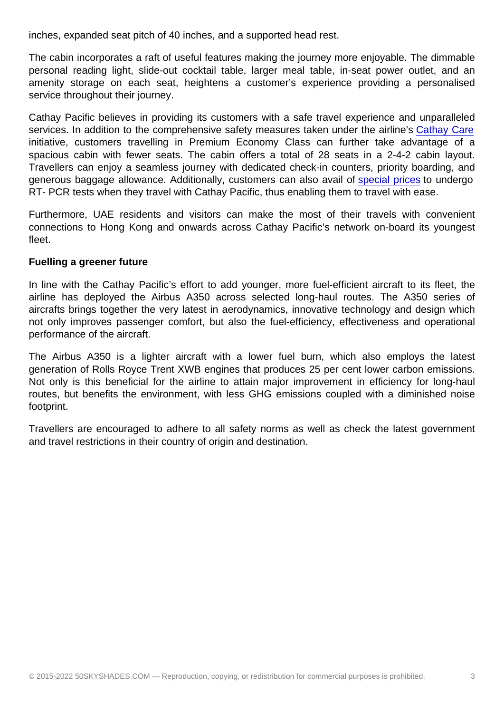The cabin incorporates a raft of useful features making the journey more enjoyable. The dimmable personal reading light, slide-out cocktail table, larger meal table, in-seat power outlet, and an amenity storage on each seat, heightens a customer's experience providing a personalised service throughout their journey.

Cathay Pacific believes in providing its customers with a safe travel experience and unparalleled services. In addition to the comprehensive safety measures taken under the airline's Cathay Care initiative, customers travelling in Premium Economy Class can further take advantage of a spacious cabin with fewer seats. The cabin offers a total of 28 seats in a 2-4-2 cabin layout. Travellers can enjoy a seamless journey with dedicated check-in counters, priority [boarding, and](https://www.cathaypacific.com/cx/en_AE/flying-with-us/cathaycare.html) generous baggage allowance. Additionally, customers can also avail of special prices to undergo RT- PCR tests when they travel with Cathay Pacific, thus enabling them to travel with ease.

Furthermore, UAE residents and visitors can make the most of thei[r travels with](https://www.cathaypacific.com/cx/en_AE/offers/collection/special-testing-rates-from-dubai-origin-dubai.html) convenient connections to Hong Kong and onwards across Cathay Pacific's network on-board its youngest fleet.

Fuelling a greener future

In line with the Cathay Pacific's effort to add younger, more fuel-efficient aircraft to its fleet, the airline has deployed the Airbus A350 across selected long-haul routes. The A350 series of aircrafts brings together the very latest in aerodynamics, innovative technology and design which not only improves passenger comfort, but also the fuel-efficiency, effectiveness and operational performance of the aircraft.

The Airbus A350 is a lighter aircraft with a lower fuel burn, which also employs the latest generation of Rolls Royce Trent XWB engines that produces 25 per cent lower carbon emissions. Not only is this beneficial for the airline to attain major improvement in efficiency for long-haul routes, but benefits the environment, with less GHG emissions coupled with a diminished noise footprint.

Travellers are encouraged to adhere to all safety norms as well as check the latest government and travel restrictions in their country of origin and destination.